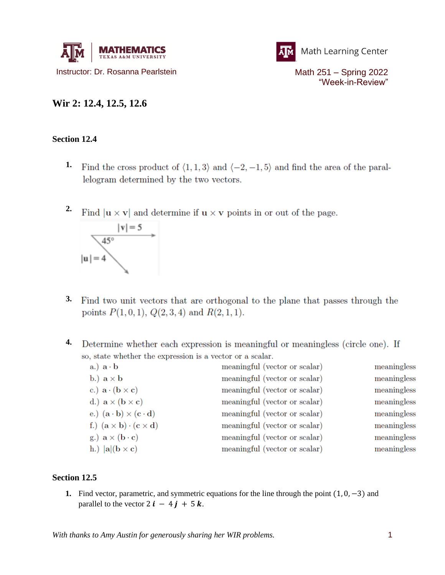



"Week-in-Review"

## **Wir 2: 12.4, 12.5, 12.6**

## **Section 12.4**

- **1.** Find the cross product of  $\langle 1,1,3 \rangle$  and  $\langle -2,-1,5 \rangle$  and find the area of the parallelogram determined by the two vectors.
- **2.** Find  $|\mathbf{u} \times \mathbf{v}|$  and determine if  $\mathbf{u} \times \mathbf{v}$  points in or out of the page.



- **3.** Find two unit vectors that are orthogonal to the plane that passes through the points  $P(1,0,1), Q(2,3,4)$  and  $R(2,1,1)$ .
- **4.** Determine whether each expression is meaningful or meaningless (circle one). If so, state whether the expression is a vector or a scalar.

| $a.$ ) $a \cdot b$                                                        | meaningful (vector or scalar) | meaningless |
|---------------------------------------------------------------------------|-------------------------------|-------------|
| b.) $\mathbf{a} \times \mathbf{b}$                                        | meaningful (vector or scalar) | meaningless |
| c.) $\mathbf{a} \cdot (\mathbf{b} \times \mathbf{c})$                     | meaningful (vector or scalar) | meaningless |
| d.) $\mathbf{a} \times (\mathbf{b} \times \mathbf{c})$                    | meaningful (vector or scalar) | meaningless |
| e.) $(\mathbf{a} \cdot \mathbf{b}) \times (\mathbf{c} \cdot \mathbf{d})$  | meaningful (vector or scalar) | meaningless |
| f.) $(\mathbf{a} \times \mathbf{b}) \cdot (\mathbf{c} \times \mathbf{d})$ | meaningful (vector or scalar) | meaningless |
| g.) $\mathbf{a} \times (\mathbf{b} \cdot \mathbf{c})$                     | meaningful (vector or scalar) | meaningless |
| h.) $ {\bf a} ({\bf b}\times {\bf c})$                                    | meaningful (vector or scalar) | meaningless |

## **Section 12.5**

**1.** Find vector, parametric, and symmetric equations for the line through the point (1, 0, −3) and parallel to the vector  $2 i - 4 j + 5 k$ .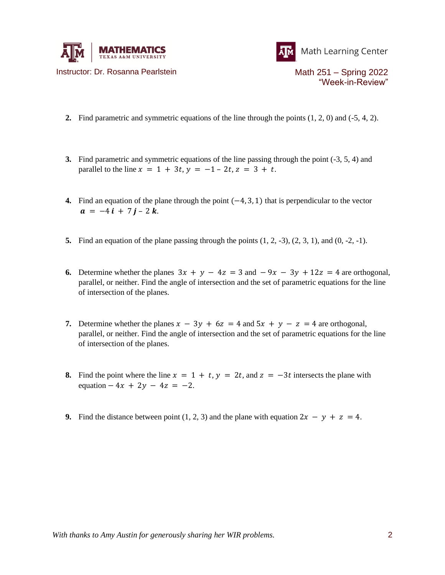



Instructor: Dr. Rosanna Pearlstein Math 251 – Spring 2022 "Week-in-Review"

- **2.** Find parametric and symmetric equations of the line through the points (1, 2, 0) and (-5, 4, 2).
- **3.** Find parametric and symmetric equations of the line passing through the point (-3, 5, 4) and parallel to the line  $x = 1 + 3t$ ,  $y = -1 - 2t$ ,  $z = 3 + t$ .
- **4.** Find an equation of the plane through the point  $(-4, 3, 1)$  that is perpendicular to the vector  $a = -4 i + 7 j - 2 k$ .
- **5.** Find an equation of the plane passing through the points  $(1, 2, -3)$ ,  $(2, 3, 1)$ , and  $(0, -2, -1)$ .
- **6.** Determine whether the planes  $3x + y 4z = 3$  and  $-9x 3y + 12z = 4$  are orthogonal, parallel, or neither. Find the angle of intersection and the set of parametric equations for the line of intersection of the planes.
- **7.** Determine whether the planes  $x 3y + 6z = 4$  and  $5x + y z = 4$  are orthogonal, parallel, or neither. Find the angle of intersection and the set of parametric equations for the line of intersection of the planes.
- **8.** Find the point where the line  $x = 1 + t$ ,  $y = 2t$ , and  $z = -3t$  intersects the plane with equation  $-4x + 2y - 4z = -2$ .
- **9.** Find the distance between point (1, 2, 3) and the plane with equation  $2x y + z = 4$ .